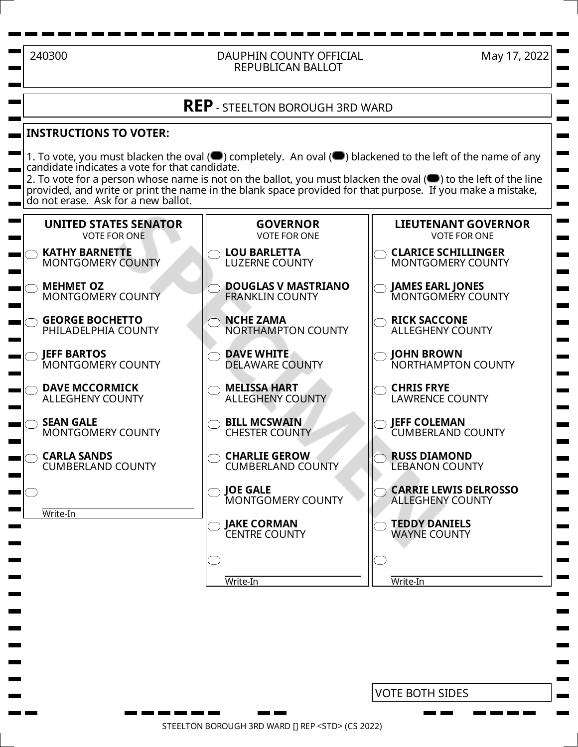## 240300 DAUPHIN COUNTY OFFICIAL REPUBLICAN BALLOT

May 17, 2022

## **REP** - STEELTON BOROUGH 3RD WARD

## **INSTRUCTIONS TO VOTER:**

1. To vote, you must blacken the oval  $(\blacksquare)$  completely. An oval  $(\blacksquare)$  blackened to the left of the name of any candidate indicates a vote for that candidate.

2. To vote for a person whose name is not on the ballot, you must blacken the oval  $($ **)** to the left of the line provided, and write or print the name in the blank space provided for that purpose. If you make a mistake, do not erase. Ask for a new ballot.